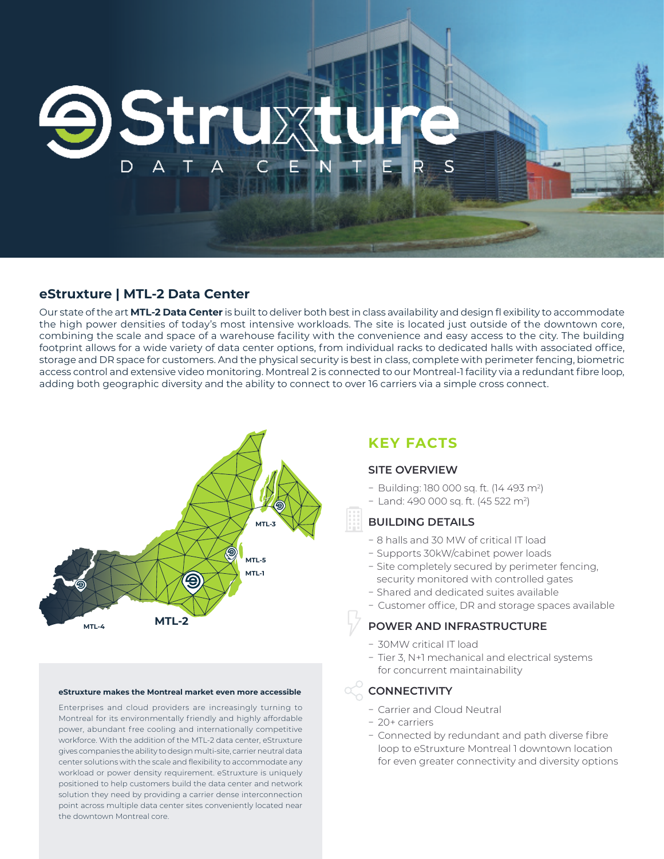# e) Str D

# **eStruxture | MTL-2 Data Center**

Our state of the art **MTL-2 Data Center** is built to deliver both best in class availability and design fl exibility to accommodate the high power densities of today's most intensive workloads. The site is located just outside of the downtown core, combining the scale and space of a warehouse facility with the convenience and easy access to the city. The building footprint allows for a wide variety of data center options, from individual racks to dedicated halls with associated office, storage and DR space for customers. And the physical security is best in class, complete with perimeter fencing, biometric access control and extensive video monitoring. Montreal 2 is connected to our Montreal-1 facility via a redundant fibre loop, adding both geographic diversity and the ability to connect to over 16 carriers via a simple cross connect.



#### **eStruxture makes the Montreal market even more accessible**

Enterprises and cloud providers are increasingly turning to Montreal for its environmentally friendly and highly affordable power, abundant free cooling and internationally competitive workforce. With the addition of the MTL-2 data center, eStruxture gives companies the ability to design multi-site, carrier neutral data center solutions with the scale and flexibility to accommodate any workload or power density requirement. eStruxture is uniquely positioned to help customers build the data center and network solution they need by providing a carrier dense interconnection point across multiple data center sites conveniently located near the downtown Montreal core.

# **KEY FACTS**

### **SITE OVERVIEW**

- − Building: 180 000 sq. ft. (14 493 m2 )
- − Land: 490 000 sq. ft. (45 522 m2 )

# **BUILDING DETAILS**

- − 8 halls and 30 MW of critical IT load
- − Supports 30kW/cabinet power loads
- − Site completely secured by perimeter fencing, security monitored with controlled gates
- − Shared and dedicated suites available
- − Customer office, DR and storage spaces available

### **POWER AND INFRASTRUCTURE**

- − 30MW critical IT load
- − Tier 3, N+1 mechanical and electrical systems for concurrent maintainability

# **CONNECTIVITY**

- − Carrier and Cloud Neutral
- − 20+ carriers
- − Connected by redundant and path diverse fibre loop to eStruxture Montreal 1 downtown location for even greater connectivity and diversity options